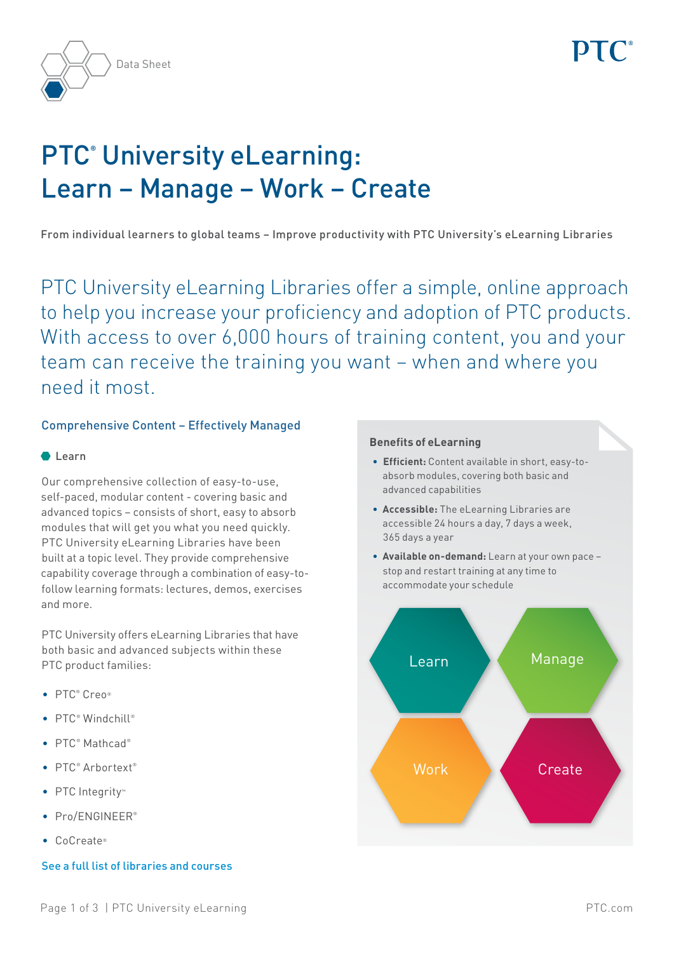

# PTC**®** University eLearning: Learn – Manage – Work – Create

From individual learners to global teams – Improve productivity with PTC University's eLearning Libraries

PTC University eLearning Libraries offer a simple, online approach to help you increase your proficiency and adoption of PTC products. With access to over 6,000 hours of training content, you and your team can receive the training you want – when and where you need it most.

# Comprehensive Content – Effectively Managed

## $\bullet$  Learn

Our comprehensive collection of easy-to-use, self-paced, modular content - covering basic and advanced topics – consists of short, easy to absorb modules that will get you what you need quickly. PTC University eLearning Libraries have been built at a topic level. They provide comprehensive capability coverage through a combination of easy-tofollow learning formats: lectures, demos, exercises and more.

PTC University offers eLearning Libraries that have both basic and advanced subjects within these PTC product families:

- PTC® Creo®
- PTC® Windchill®
- PTC<sup>®</sup> Mathcad®
- PTC<sup>®</sup> Arbortext<sup>®</sup>
- • PTC Integrity™
- Pro/ENGINEER®
- • CoCreate®

# [See a full list of libraries and courses](http://www.ptc.com/training/elearning/elearning-library-catalog/)

#### **Benefits of eLearning**

- **• Efficient:** Content available in short, easy-toabsorb modules, covering both basic and advanced capabilities
- **• Accessible:** The eLearning Libraries are accessible 24 hours a day, 7 days a week, 365 days a year
- **• Available on-demand:** Learn at your own pace stop and restart training at any time to accommodate your schedule

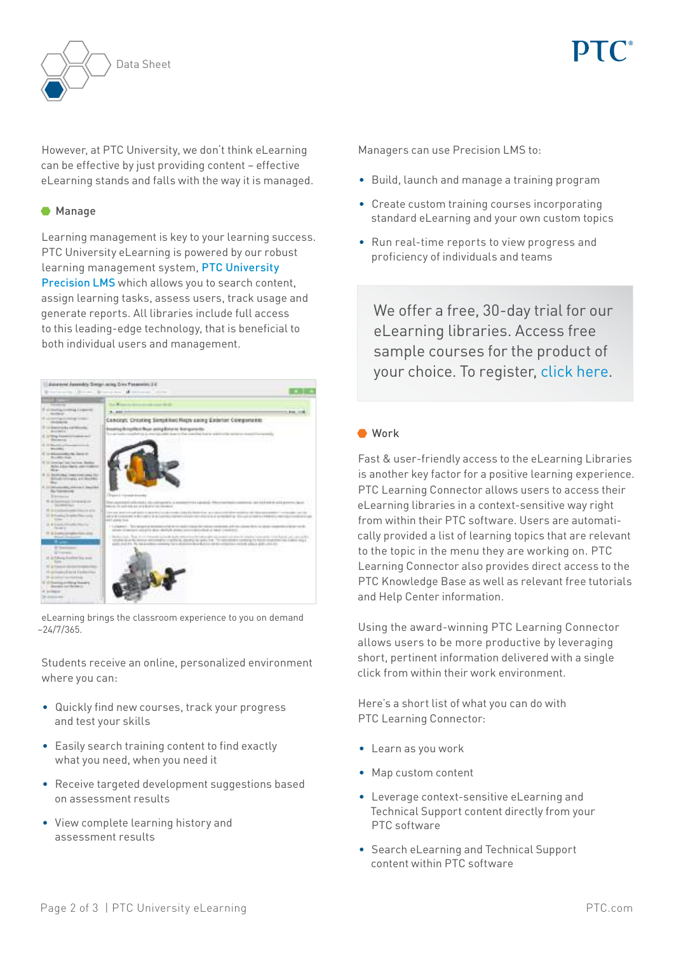

However, at PTC University, we don't think eLearning can be effective by just providing content – effective eLearning stands and falls with the way it is managed.

## **Manage**

Learning management is key to your learning success. PTC University eLearning is powered by our robust learning management system, [PTC University](https://precisionlms.ptc.com/app/pages/Login/)  [Precision LMS](https://precisionlms.ptc.com/app/pages/Login/) which allows you to search content, assign learning tasks, assess users, track usage and generate reports. All libraries include full access to this leading-edge technology, that is beneficial to both individual users and management.



eLearning brings the classroom experience to you on demand –24/7/365.

Students receive an online, personalized environment where you can:

- • Quickly find new courses, track your progress and test your skills
- Easily search training content to find exactly what you need, when you need it
- • Receive targeted development suggestions based on assessment results
- • View complete learning history and assessment results

Managers can use Precision LMS to:

- • Build, launch and manage a training program
- • Create custom training courses incorporating standard eLearning and your own custom topics
- • Run real-time reports to view progress and proficiency of individuals and teams

We offer a free, 30-day trial for our eLearning libraries. Access free sample courses for the product of your choice. To register, [click here.](https://precisionlmstrial.ptc.com/132396en.html)

#### ● Work

Fast & user-friendly access to the eLearning Libraries is another key factor for a positive learning experience. PTC Learning Connector allows users to access their eLearning libraries in a context-sensitive way right from within their PTC software. Users are automatically provided a list of learning topics that are relevant to the topic in the menu they are working on. PTC Learning Connector also provides direct access to the PTC Knowledge Base as well as relevant free tutorials and Help Center information.

Using the award-winning PTC Learning Connector allows users to be more productive by leveraging short, pertinent information delivered with a single click from within their work environment.

Here's a short list of what you can do with PTC Learning Connector:

- • Learn as you work
- • Map custom content
- • Leverage context-sensitive eLearning and Technical Support content directly from your PTC software
- • Search eLearning and Technical Support content within PTC software